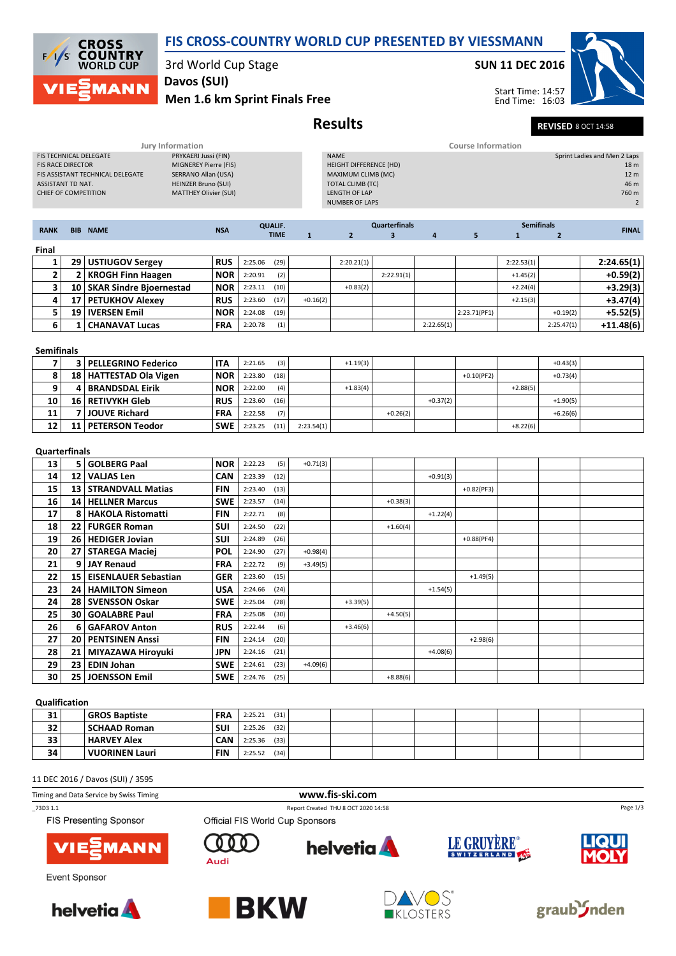

11 DEC 2016 / Davos (SUI) / 3595



FIS Presenting Sponsor

\_73D3 1.1 Report Created THU 8 OCT 2020 14:58





Event Sponsor









Page 1/3



**helvetia** 

Official FIS World Cup Sponsors







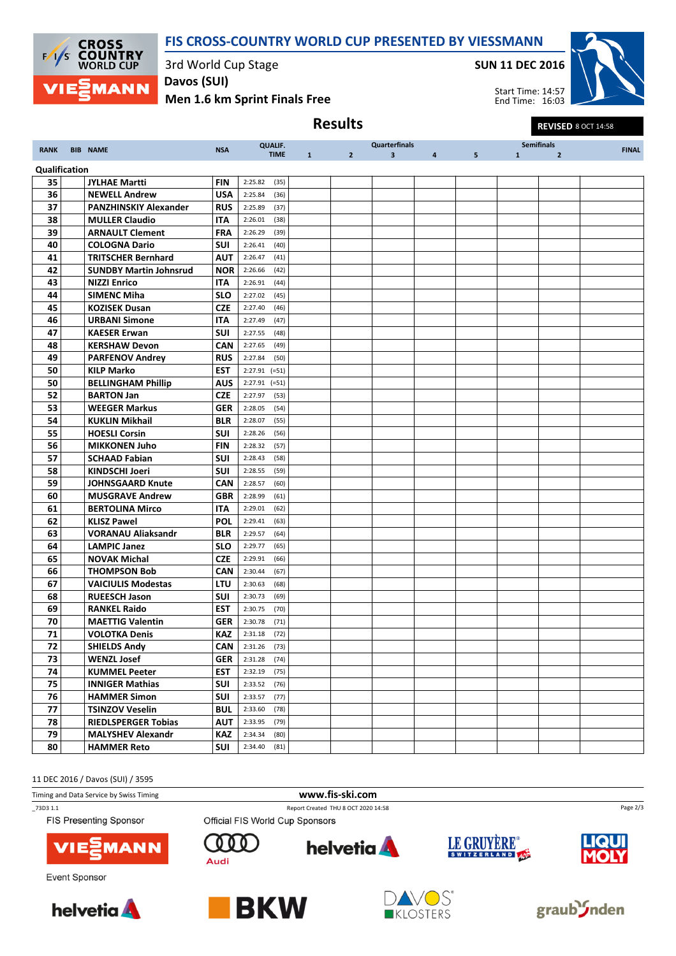



3rd World Cup Stage

Davos (SUI)

Men 1.6 km Sprint Finals Free

SUN 11 DEC 2016

Results Results REVISED 8 OCT 14:58



Start Time: 14:57 End Time: 16:03

| <b>RANK</b>   | <b>BIB NAME</b>               | <b>NSA</b> | <b>QUALIF.</b>  |                   |                | <b>Quarterfinals</b> |                   |       |              | <b>Semifinals</b> | <b>FINAL</b> |
|---------------|-------------------------------|------------|-----------------|-------------------|----------------|----------------------|-------------------|-------|--------------|-------------------|--------------|
|               |                               |            | <b>TIME</b>     | $1 \qquad \qquad$ | 2 <sup>7</sup> | $\mathbf{3}$         | $4 \qquad \qquad$ | $5 -$ | $\mathbf{1}$ | $\overline{2}$    |              |
| Qualification |                               |            |                 |                   |                |                      |                   |       |              |                   |              |
| 35            | <b>JYLHAE Martti</b>          | <b>FIN</b> | 2:25.82<br>(35) |                   |                |                      |                   |       |              |                   |              |
| 36            | <b>NEWELL Andrew</b>          | <b>USA</b> | 2:25.84<br>(36) |                   |                |                      |                   |       |              |                   |              |
| 37            | <b>PANZHINSKIY Alexander</b>  | <b>RUS</b> | 2:25.89<br>(37) |                   |                |                      |                   |       |              |                   |              |
| 38            | <b>MULLER Claudio</b>         | <b>ITA</b> | 2:26.01<br>(38) |                   |                |                      |                   |       |              |                   |              |
| 39            | <b>ARNAULT Clement</b>        | <b>FRA</b> | 2:26.29<br>(39) |                   |                |                      |                   |       |              |                   |              |
| 40            | <b>COLOGNA Dario</b>          | <b>SUI</b> | 2:26.41<br>(40) |                   |                |                      |                   |       |              |                   |              |
| 41            | <b>TRITSCHER Bernhard</b>     | <b>AUT</b> | 2:26.47<br>(41) |                   |                |                      |                   |       |              |                   |              |
| 42            | <b>SUNDBY Martin Johnsrud</b> | <b>NOR</b> | 2:26.66<br>(42) |                   |                |                      |                   |       |              |                   |              |
| 43            | <b>NIZZI Enrico</b>           | ITA        | 2:26.91<br>(44) |                   |                |                      |                   |       |              |                   |              |
| 44            | <b>SIMENC Miha</b>            | <b>SLO</b> | 2:27.02<br>(45) |                   |                |                      |                   |       |              |                   |              |
| 45            | <b>KOZISEK Dusan</b>          | <b>CZE</b> | 2:27.40<br>(46) |                   |                |                      |                   |       |              |                   |              |
| 46            | <b>URBANI Simone</b>          | <b>ITA</b> | 2:27.49<br>(47) |                   |                |                      |                   |       |              |                   |              |
| 47            | <b>KAESER Erwan</b>           | SUI        | 2:27.55<br>(48) |                   |                |                      |                   |       |              |                   |              |
| 48            | <b>KERSHAW Devon</b>          | <b>CAN</b> | 2:27.65<br>(49) |                   |                |                      |                   |       |              |                   |              |
| 49            | <b>PARFENOV Andrey</b>        | <b>RUS</b> | 2:27.84<br>(50) |                   |                |                      |                   |       |              |                   |              |
| 50            | <b>KILP Marko</b>             | <b>EST</b> | $2:27.91$ (=51) |                   |                |                      |                   |       |              |                   |              |
| 50            | <b>BELLINGHAM Phillip</b>     | <b>AUS</b> | $2:27.91$ (=51) |                   |                |                      |                   |       |              |                   |              |
| 52            | <b>BARTON Jan</b>             | <b>CZE</b> | 2:27.97<br>(53) |                   |                |                      |                   |       |              |                   |              |
| 53            | <b>WEEGER Markus</b>          | <b>GER</b> | 2:28.05<br>(54) |                   |                |                      |                   |       |              |                   |              |
| 54            | <b>KUKLIN Mikhail</b>         | <b>BLR</b> | 2:28.07<br>(55) |                   |                |                      |                   |       |              |                   |              |
| 55            | <b>HOESLI Corsin</b>          | <b>SUI</b> | 2:28.26<br>(56) |                   |                |                      |                   |       |              |                   |              |
| 56            | <b>MIKKONEN Juho</b>          | <b>FIN</b> | 2:28.32<br>(57) |                   |                |                      |                   |       |              |                   |              |
| 57            | <b>SCHAAD Fabian</b>          | <b>SUI</b> | 2:28.43<br>(58) |                   |                |                      |                   |       |              |                   |              |
| 58            | <b>KINDSCHI Joeri</b>         | SUI        | (59)<br>2:28.55 |                   |                |                      |                   |       |              |                   |              |
| 59            | <b>JOHNSGAARD Knute</b>       | <b>CAN</b> | 2:28.57<br>(60) |                   |                |                      |                   |       |              |                   |              |
| 60            | <b>MUSGRAVE Andrew</b>        | <b>GBR</b> | 2:28.99<br>(61) |                   |                |                      |                   |       |              |                   |              |
| 61            | <b>BERTOLINA Mirco</b>        | ITA        | 2:29.01<br>(62) |                   |                |                      |                   |       |              |                   |              |
| 62            | <b>KLISZ Pawel</b>            | <b>POL</b> | 2:29.41<br>(63) |                   |                |                      |                   |       |              |                   |              |
| 63            | VORANAU Aliaksandr            | <b>BLR</b> | 2:29.57<br>(64) |                   |                |                      |                   |       |              |                   |              |
| 64            | <b>LAMPIC Janez</b>           | <b>SLO</b> | (65)<br>2:29.77 |                   |                |                      |                   |       |              |                   |              |
| 65            | <b>NOVAK Michal</b>           | <b>CZE</b> | 2:29.91<br>(66) |                   |                |                      |                   |       |              |                   |              |
| 66            | <b>THOMPSON Bob</b>           | <b>CAN</b> | 2:30.44<br>(67) |                   |                |                      |                   |       |              |                   |              |
| 67            | <b>VAICIULIS Modestas</b>     | <b>LTU</b> | 2:30.63<br>(68) |                   |                |                      |                   |       |              |                   |              |
| 68            | <b>RUEESCH Jason</b>          | <b>SUI</b> | 2:30.73<br>(69) |                   |                |                      |                   |       |              |                   |              |
| 69            | <b>RANKEL Raido</b>           | <b>EST</b> | 2:30.75<br>(70) |                   |                |                      |                   |       |              |                   |              |
| 70            | <b>MAETTIG Valentin</b>       | GER        | 2:30.78<br>(71) |                   |                |                      |                   |       |              |                   |              |
| 71            | <b>VOLOTKA Denis</b>          | <b>KAZ</b> | 2:31.18<br>(72) |                   |                |                      |                   |       |              |                   |              |
| 72            | <b>SHIELDS Andy</b>           | CAN        | 2:31.26<br>(73) |                   |                |                      |                   |       |              |                   |              |
| 73            | <b>WENZL Josef</b>            | <b>GER</b> | 2:31.28<br>(74) |                   |                |                      |                   |       |              |                   |              |
| 74            | <b>KUMMEL Peeter</b>          | <b>EST</b> | 2:32.19<br>(75) |                   |                |                      |                   |       |              |                   |              |
| 75            | <b>INNIGER Mathias</b>        | SUI        | 2:33.52<br>(76) |                   |                |                      |                   |       |              |                   |              |
| 76            | <b>HAMMER Simon</b>           | SUI        | 2:33.57<br>(77) |                   |                |                      |                   |       |              |                   |              |
| $77\,$        | <b>TSINZOV Veselin</b>        | <b>BUL</b> | (78)<br>2:33.60 |                   |                |                      |                   |       |              |                   |              |
| 78            | <b>RIEDLSPERGER Tobias</b>    | <b>AUT</b> | (79)<br>2:33.95 |                   |                |                      |                   |       |              |                   |              |
| 79            | <b>MALYSHEV Alexandr</b>      | KAZ        | 2:34.34<br>(80) |                   |                |                      |                   |       |              |                   |              |
| 80            | <b>HAMMER Reto</b>            | SUI        | 2:34.40<br>(81) |                   |                |                      |                   |       |              |                   |              |

11 DEC 2016 / Davos (SUI) / 3595



**helvetia** 

\_73D3 1.1 Report Created THU 8 OCT 2020 14:58

FIS Presenting Sponsor



Event Sponsor





000

Audi

Official FIS World Cup Sponsors



LE GRUYÈRE®



graub<sup>S</sup>nden

Page 2/3